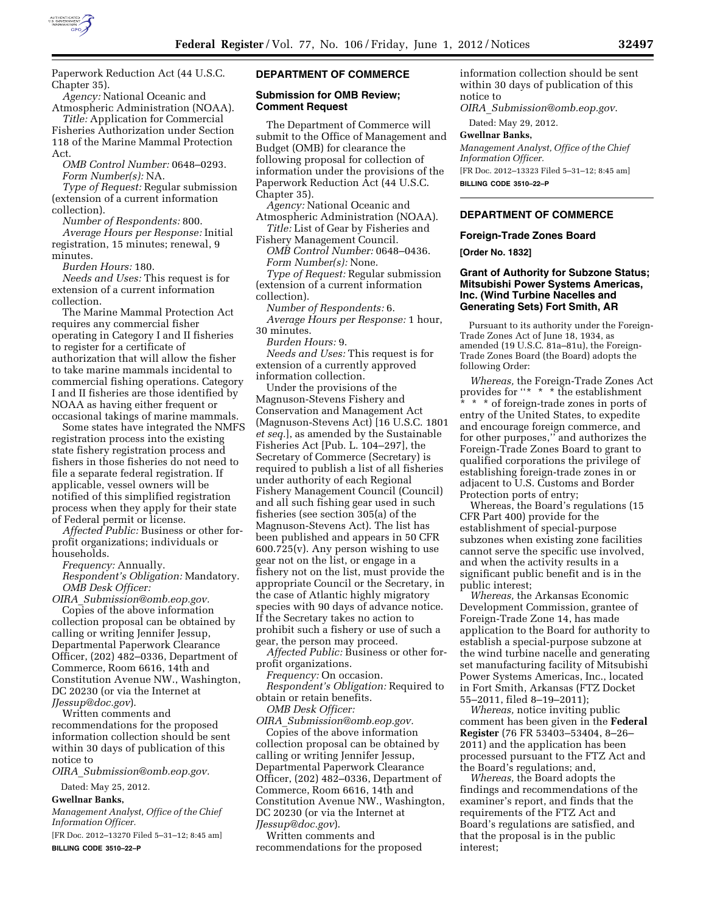

Paperwork Reduction Act (44 U.S.C. Chapter 35).

*Agency:* National Oceanic and Atmospheric Administration (NOAA).

*Title:* Application for Commercial Fisheries Authorization under Section 118 of the Marine Mammal Protection Act.

*OMB Control Number:* 0648–0293. *Form Number(s):* NA.

*Type of Request:* Regular submission (extension of a current information collection).

*Number of Respondents:* 800.

*Average Hours per Response:* Initial registration, 15 minutes; renewal, 9 minutes.

*Burden Hours:* 180.

*Needs and Uses:* This request is for extension of a current information collection.

The Marine Mammal Protection Act requires any commercial fisher operating in Category I and II fisheries to register for a certificate of authorization that will allow the fisher to take marine mammals incidental to commercial fishing operations. Category I and II fisheries are those identified by NOAA as having either frequent or occasional takings of marine mammals.

Some states have integrated the NMFS registration process into the existing state fishery registration process and fishers in those fisheries do not need to file a separate federal registration. If applicable, vessel owners will be notified of this simplified registration process when they apply for their state of Federal permit or license.

*Affected Public:* Business or other forprofit organizations; individuals or households.

*Frequency:* Annually. *Respondent's Obligation:* Mandatory.

*OMB Desk Officer: OIRA*\_*[Submission@omb.eop.gov.](mailto:OIRA_Submission@omb.eop.gov)*  Copies of the above information

collection proposal can be obtained by calling or writing Jennifer Jessup, Departmental Paperwork Clearance Officer, (202) 482–0336, Department of Commerce, Room 6616, 14th and Constitution Avenue NW., Washington, DC 20230 (or via the Internet at *[JJessup@doc.gov](mailto:JJessup@doc.gov)*).

Written comments and recommendations for the proposed information collection should be sent within 30 days of publication of this notice to

*OIRA*\_*[Submission@omb.eop.gov.](mailto:OIRA_Submission@omb.eop.gov)* 

Dated: May 25, 2012.

# **Gwellnar Banks,**

*Management Analyst, Office of the Chief Information Officer.* 

[FR Doc. 2012–13270 Filed 5–31–12; 8:45 am] **BILLING CODE 3510–22–P** 

### **DEPARTMENT OF COMMERCE**

#### **Submission for OMB Review; Comment Request**

The Department of Commerce will submit to the Office of Management and Budget (OMB) for clearance the following proposal for collection of information under the provisions of the Paperwork Reduction Act (44 U.S.C. Chapter 35).

*Agency:* National Oceanic and Atmospheric Administration (NOAA).

*Title:* List of Gear by Fisheries and Fishery Management Council.

*OMB Control Number:* 0648–0436. *Form Number(s):* None.

*Type of Request:* Regular submission (extension of a current information collection).

*Number of Respondents:* 6.

*Average Hours per Response:* 1 hour, 30 minutes.

*Burden Hours:* 9.

*Needs and Uses:* This request is for extension of a currently approved information collection.

Under the provisions of the Magnuson-Stevens Fishery and Conservation and Management Act (Magnuson-Stevens Act) [16 U.S.C. 1801 *et seq.*], as amended by the Sustainable Fisheries Act [Pub. L. 104–297], the Secretary of Commerce (Secretary) is required to publish a list of all fisheries under authority of each Regional Fishery Management Council (Council) and all such fishing gear used in such fisheries (see section 305(a) of the Magnuson-Stevens Act). The list has been published and appears in 50 CFR 600.725(v). Any person wishing to use gear not on the list, or engage in a fishery not on the list, must provide the appropriate Council or the Secretary, in the case of Atlantic highly migratory species with 90 days of advance notice. If the Secretary takes no action to prohibit such a fishery or use of such a gear, the person may proceed.

*Affected Public:* Business or other forprofit organizations.

*Frequency:* On occasion.

*Respondent's Obligation:* Required to obtain or retain benefits. *OMB Desk Officer:* 

*OIRA*\_*[Submission@omb.eop.gov.](mailto:OIRA_Submission@omb.eop.gov)*  Copies of the above information collection proposal can be obtained by calling or writing Jennifer Jessup, Departmental Paperwork Clearance Officer, (202) 482–0336, Department of Commerce, Room 6616, 14th and Constitution Avenue NW., Washington, DC 20230 (or via the Internet at *[JJessup@doc.gov](mailto:JJessup@doc.gov)*).

Written comments and recommendations for the proposed information collection should be sent within 30 days of publication of this notice to

*OIRA*\_*[Submission@omb.eop.gov](mailto:OIRA_Submission@omb.eop.gov)*.

Dated: May 29, 2012.

#### **Gwellnar Banks,**

*Management Analyst, Office of the Chief Information Officer.*  [FR Doc. 2012–13323 Filed 5–31–12; 8:45 am] **BILLING CODE 3510–22–P** 

### **DEPARTMENT OF COMMERCE**

#### **Foreign-Trade Zones Board**

**[Order No. 1832]** 

### **Grant of Authority for Subzone Status; Mitsubishi Power Systems Americas, Inc. (Wind Turbine Nacelles and Generating Sets) Fort Smith, AR**

Pursuant to its authority under the Foreign-Trade Zones Act of June 18, 1934, as amended (19 U.S.C. 81a–81u), the Foreign-Trade Zones Board (the Board) adopts the following Order:

*Whereas,* the Foreign-Trade Zones Act provides for ''\* \* \* the establishment \* \* \* of foreign-trade zones in ports of entry of the United States, to expedite and encourage foreign commerce, and for other purposes,'' and authorizes the Foreign-Trade Zones Board to grant to qualified corporations the privilege of establishing foreign-trade zones in or adjacent to U.S. Customs and Border Protection ports of entry;

Whereas, the Board's regulations (15 CFR Part 400) provide for the establishment of special-purpose subzones when existing zone facilities cannot serve the specific use involved, and when the activity results in a significant public benefit and is in the public interest;

*Whereas,* the Arkansas Economic Development Commission, grantee of Foreign-Trade Zone 14, has made application to the Board for authority to establish a special-purpose subzone at the wind turbine nacelle and generating set manufacturing facility of Mitsubishi Power Systems Americas, Inc., located in Fort Smith, Arkansas (FTZ Docket 55–2011, filed 8–19–2011);

*Whereas,* notice inviting public comment has been given in the **Federal Register** (76 FR 53403–53404, 8–26– 2011) and the application has been processed pursuant to the FTZ Act and the Board's regulations; and,

*Whereas,* the Board adopts the findings and recommendations of the examiner's report, and finds that the requirements of the FTZ Act and Board's regulations are satisfied, and that the proposal is in the public interest;